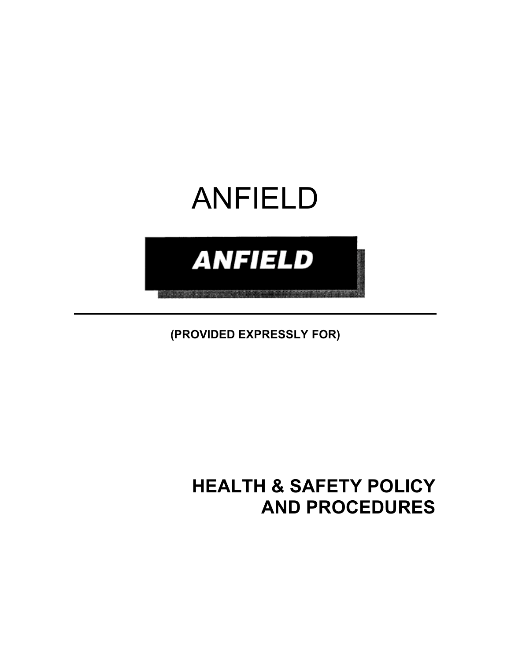# ANFIELD



**(PROVIDED EXPRESSLY FOR)**

# **HEALTH & SAFETY POLICY AND PROCEDURES**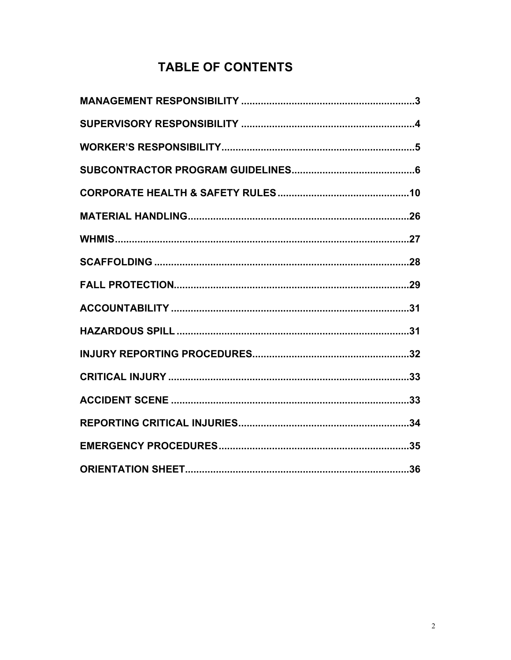# **TABLE OF CONTENTS**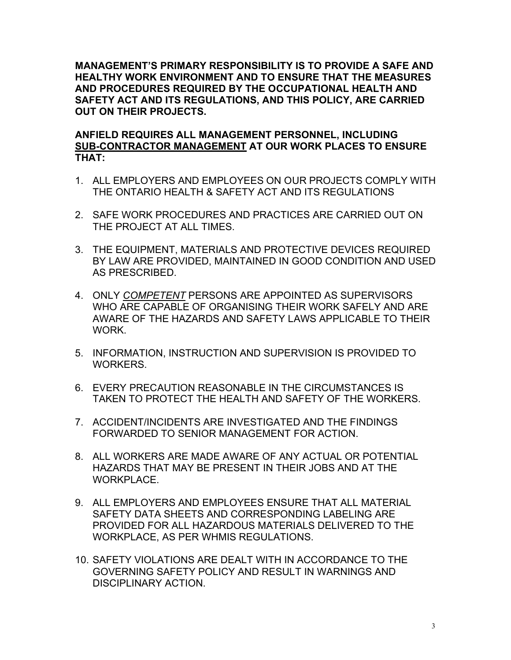**MANAGEMENT'S PRIMARY RESPONSIBILITY IS TO PROVIDE A SAFE AND HEALTHY WORK ENVIRONMENT AND TO ENSURE THAT THE MEASURES AND PROCEDURES REQUIRED BY THE OCCUPATIONAL HEALTH AND SAFETY ACT AND ITS REGULATIONS, AND THIS POLICY, ARE CARRIED OUT ON THEIR PROJECTS.**

#### **ANFIELD REQUIRES ALL MANAGEMENT PERSONNEL, INCLUDING SUB-CONTRACTOR MANAGEMENT AT OUR WORK PLACES TO ENSURE THAT:**

- 1. ALL EMPLOYERS AND EMPLOYEES ON OUR PROJECTS COMPLY WITH THE ONTARIO HEALTH & SAFETY ACT AND ITS REGULATIONS
- 2. SAFE WORK PROCEDURES AND PRACTICES ARE CARRIED OUT ON THE PROJECT AT ALL TIMES.
- 3. THE EQUIPMENT, MATERIALS AND PROTECTIVE DEVICES REQUIRED BY LAW ARE PROVIDED, MAINTAINED IN GOOD CONDITION AND USED AS PRESCRIBED.
- 4. ONLY *COMPETENT* PERSONS ARE APPOINTED AS SUPERVISORS WHO ARE CAPABLE OF ORGANISING THEIR WORK SAFELY AND ARE AWARE OF THE HAZARDS AND SAFETY LAWS APPLICABLE TO THEIR WORK.
- 5. INFORMATION, INSTRUCTION AND SUPERVISION IS PROVIDED TO WORKERS.
- 6. EVERY PRECAUTION REASONABLE IN THE CIRCUMSTANCES IS TAKEN TO PROTECT THE HEALTH AND SAFETY OF THE WORKERS.
- 7. ACCIDENT/INCIDENTS ARE INVESTIGATED AND THE FINDINGS FORWARDED TO SENIOR MANAGEMENT FOR ACTION.
- 8. ALL WORKERS ARE MADE AWARE OF ANY ACTUAL OR POTENTIAL HAZARDS THAT MAY BE PRESENT IN THEIR JOBS AND AT THE WORKPLACE.
- 9. ALL EMPLOYERS AND EMPLOYEES ENSURE THAT ALL MATERIAL SAFETY DATA SHEETS AND CORRESPONDING LABELING ARE PROVIDED FOR ALL HAZARDOUS MATERIALS DELIVERED TO THE WORKPLACE, AS PER WHMIS REGULATIONS.
- 10. SAFETY VIOLATIONS ARE DEALT WITH IN ACCORDANCE TO THE GOVERNING SAFETY POLICY AND RESULT IN WARNINGS AND DISCIPLINARY ACTION.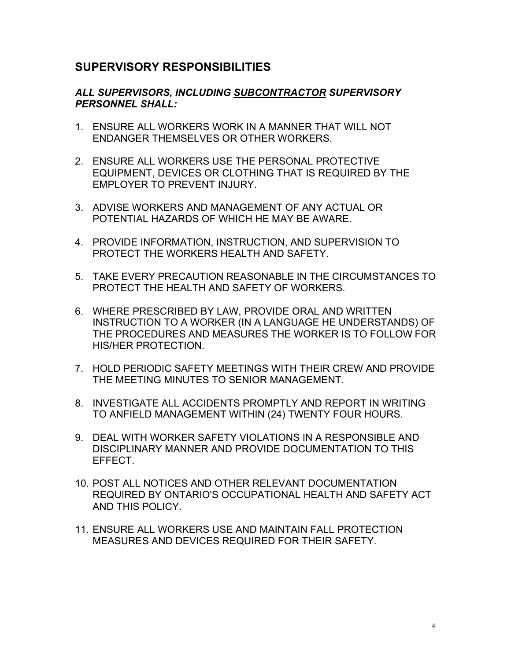# **SUPERVISORY RESPONSIBILITIES**

#### *ALL SUPERVISORS, INCLUDING SUBCONTRACTOR SUPERVISORY PERSONNEL SHALL:*

- 1. ENSURE ALL WORKERS WORK IN A MANNER THAT WILL NOT ENDANGER THEMSELVES OR OTHER WORKERS.
- 2. ENSURE ALL WORKERS USE THE PERSONAL PROTECTIVE EQUIPMENT, DEVICES OR CLOTHING THAT IS REQUIRED BY THE EMPLOYER TO PREVENT INJURY.
- 3. ADVISE WORKERS AND MANAGEMENT OF ANY ACTUAL OR POTENTIAL HAZARDS OF WHICH HE MAY BE AWARE.
- 4. PROVIDE INFORMATION, INSTRUCTION, AND SUPERVISION TO PROTECT THE WORKERS HEALTH AND SAFETY.
- 5. TAKE EVERY PRECAUTION REASONABLE IN THE CIRCUMSTANCES TO PROTECT THE HEALTH AND SAFETY OF WORKERS.
- 6. WHERE PRESCRIBED BY LAW, PROVIDE ORAL AND WRITTEN INSTRUCTION TO A WORKER (IN A LANGUAGE HE UNDERSTANDS) OF THE PROCEDURES AND MEASURES THE WORKER IS TO FOLLOW FOR HIS/HER PROTECTION.
- 7. HOLD PERIODIC SAFETY MEETINGS WITH THEIR CREW AND PROVIDE THE MEETING MINUTES TO SENIOR MANAGEMENT.
- 8. INVESTIGATE ALL ACCIDENTS PROMPTLY AND REPORT IN WRITING TO ANFIELD MANAGEMENT WITHIN (24) TWENTY FOUR HOURS.
- 9. DEAL WITH WORKER SAFETY VIOLATIONS IN A RESPONSIBLE AND DISCIPLINARY MANNER AND PROVIDE DOCUMENTATION TO THIS **FFFFCT**
- 10. POST ALL NOTICES AND OTHER RELEVANT DOCUMENTATION REQUIRED BY ONTARIO'S OCCUPATIONAL HEALTH AND SAFETY ACT AND THIS POLICY.
- 11. ENSURE ALL WORKERS USE AND MAINTAIN FALL PROTECTION MEASURES AND DEVICES REQUIRED FOR THEIR SAFETY.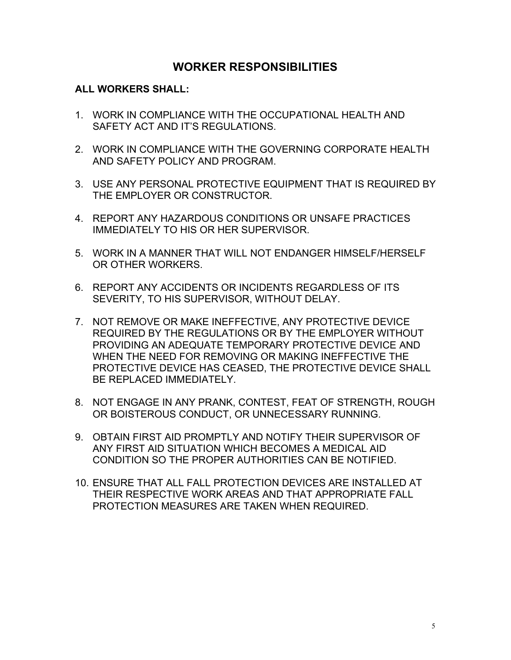# **WORKER RESPONSIBILITIES**

#### **ALL WORKERS SHALL:**

- 1. WORK IN COMPLIANCE WITH THE OCCUPATIONAL HEALTH AND SAFETY ACT AND IT'S REGULATIONS.
- 2. WORK IN COMPLIANCE WITH THE GOVERNING CORPORATE HEALTH AND SAFETY POLICY AND PROGRAM.
- 3. USE ANY PERSONAL PROTECTIVE EQUIPMENT THAT IS REQUIRED BY THE EMPLOYER OR CONSTRUCTOR.
- 4. REPORT ANY HAZARDOUS CONDITIONS OR UNSAFE PRACTICES IMMEDIATELY TO HIS OR HER SUPERVISOR.
- 5. WORK IN A MANNER THAT WILL NOT ENDANGER HIMSELF/HERSELF OR OTHER WORKERS.
- 6. REPORT ANY ACCIDENTS OR INCIDENTS REGARDLESS OF ITS SEVERITY, TO HIS SUPERVISOR, WITHOUT DELAY.
- 7. NOT REMOVE OR MAKE INEFFECTIVE, ANY PROTECTIVE DEVICE REQUIRED BY THE REGULATIONS OR BY THE EMPLOYER WITHOUT PROVIDING AN ADEQUATE TEMPORARY PROTECTIVE DEVICE AND WHEN THE NEED FOR REMOVING OR MAKING INEFFECTIVE THE PROTECTIVE DEVICE HAS CEASED, THE PROTECTIVE DEVICE SHALL BE REPLACED IMMEDIATELY.
- 8. NOT ENGAGE IN ANY PRANK, CONTEST, FEAT OF STRENGTH, ROUGH OR BOISTEROUS CONDUCT, OR UNNECESSARY RUNNING.
- 9. OBTAIN FIRST AID PROMPTLY AND NOTIFY THEIR SUPERVISOR OF ANY FIRST AID SITUATION WHICH BECOMES A MEDICAL AID CONDITION SO THE PROPER AUTHORITIES CAN BE NOTIFIED.
- 10. ENSURE THAT ALL FALL PROTECTION DEVICES ARE INSTALLED AT THEIR RESPECTIVE WORK AREAS AND THAT APPROPRIATE FALL PROTECTION MEASURES ARE TAKEN WHEN REQUIRED.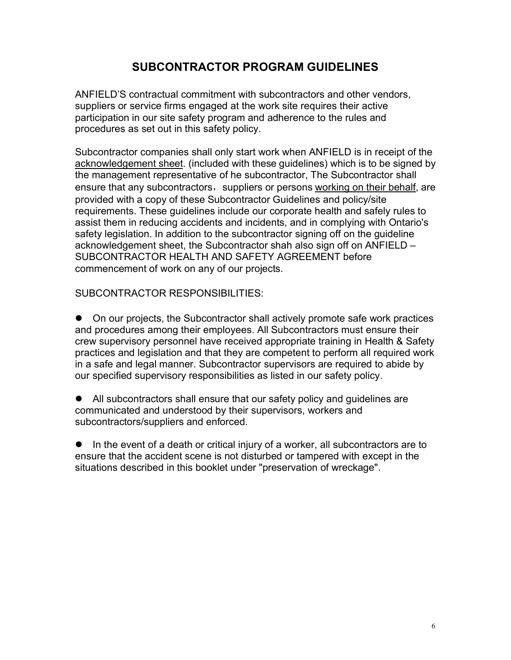# **SUBCONTRACTOR PROGRAM GUIDELINES**

ANFIELD'S contractual commitment with subcontractors and other vendors, suppliers or service firms engaged at the work site requires their active participation in our site safety program and adherence to the rules and procedures as set out in this safety policy.

Subcontractor companies shall only start work when ANFIELD is in receipt of the acknowledgement sheet. (included with these guidelines) which is to be signed by the management representative of he subcontractor, The Subcontractor shall ensure that any subcontractors, suppliers or persons working on their behalf, are provided with a copy of these Subcontractor Guidelines and policy/site requirements. These guidelines include our corporate health and safely rules to assist them in reducing accidents and incidents, and in complying with Ontario's safety legislation. In addition to the subcontractor signing off on the guideline acknowledgement sheet, the Subcontractor shah also sign off on ANFIELD – SUBCONTRACTOR HEALTH AND SAFETY AGREEMENT before commencement of work on any of our projects.

SUBCONTRACTOR RESPONSIBILITIES:

 On our projects, the Subcontractor shall actively promote safe work practices and procedures among their employees. All Subcontractors must ensure their crew supervisory personnel have received appropriate training in Health & Safety practices and legislation and that they are competent to perform all required work in a safe and legal manner. Subcontractor supervisors are required to abide by our specified supervisory responsibilities as listed in our safety policy.

 All subcontractors shall ensure that our safety policy and guidelines are communicated and understood by their supervisors, workers and subcontractors/suppliers and enforced.

 In the event of a death or critical injury of a worker, all subcontractors are to ensure that the accident scene is not disturbed or tampered with except in the situations described in this booklet under "preservation of wreckage".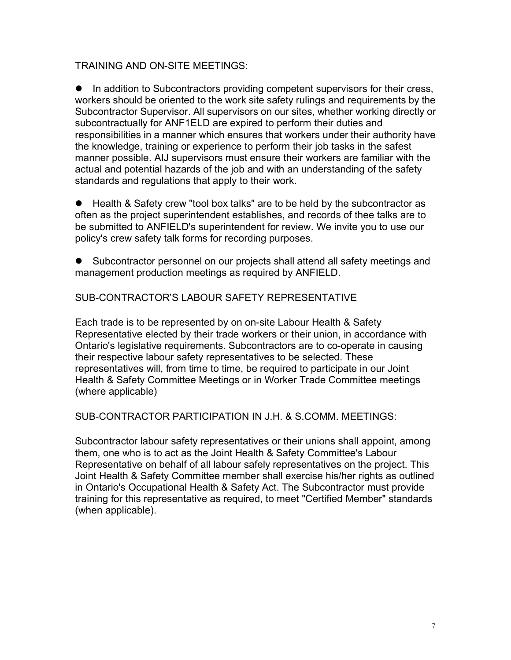#### TRAINING AND ON-SITE MEETINGS:

• In addition to Subcontractors providing competent supervisors for their cress, workers should be oriented to the work site safety rulings and requirements by the Subcontractor Supervisor. All supervisors on our sites, whether working directly or subcontractually for ANF1ELD are expired to perform their duties and responsibilities in a manner which ensures that workers under their authority have the knowledge, training or experience to perform their job tasks in the safest manner possible. AIJ supervisors must ensure their workers are familiar with the actual and potential hazards of the job and with an understanding of the safety standards and regulations that apply to their work.

 Health & Safety crew "tool box talks" are to be held by the subcontractor as often as the project superintendent establishes, and records of thee talks are to be submitted to ANFIELD's superintendent for review. We invite you to use our policy's crew safety talk forms for recording purposes.

 Subcontractor personnel on our projects shall attend all safety meetings and management production meetings as required by ANFIELD.

#### SUB-CONTRACTOR'S LABOUR SAFETY REPRESENTATIVE

Each trade is to be represented by on on-site Labour Health & Safety Representative elected by their trade workers or their union, in accordance with Ontario's legislative requirements. Subcontractors are to co-operate in causing their respective labour safety representatives to be selected. These representatives will, from time to time, be required to participate in our Joint Health & Safety Committee Meetings or in Worker Trade Committee meetings (where applicable)

SUB-CONTRACTOR PARTICIPATION IN J.H. & S.COMM. MEETINGS:

Subcontractor labour safety representatives or their unions shall appoint, among them, one who is to act as the Joint Health & Safety Committee's Labour Representative on behalf of all labour safely representatives on the project. This Joint Health & Safety Committee member shall exercise his/her rights as outlined in Ontario's Occupational Health & Safety Act. The Subcontractor must provide training for this representative as required, to meet "Certified Member" standards (when applicable).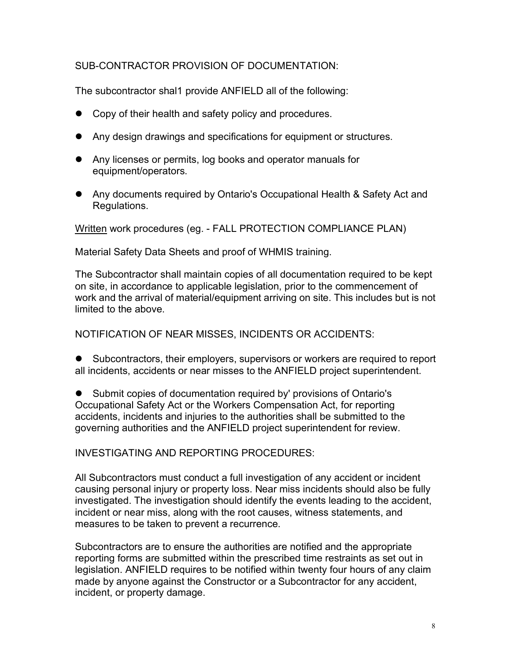#### SUB-CONTRACTOR PROVISION OF DOCUMENTATION:

The subcontractor shal1 provide ANFIELD all of the following:

- Copy of their health and safety policy and procedures.
- Any design drawings and specifications for equipment or structures.
- Any licenses or permits, log books and operator manuals for equipment/operators.
- Any documents required by Ontario's Occupational Health & Safety Act and Regulations.

Written work procedures (eg. - FALL PROTECTION COMPLIANCE PLAN)

Material Safety Data Sheets and proof of WHMIS training.

The Subcontractor shall maintain copies of all documentation required to be kept on site, in accordance to applicable legislation, prior to the commencement of work and the arrival of material/equipment arriving on site. This includes but is not limited to the above.

NOTIFICATION OF NEAR MISSES, INCIDENTS OR ACCIDENTS:

 Subcontractors, their employers, supervisors or workers are required to report all incidents, accidents or near misses to the ANFIELD project superintendent.

 Submit copies of documentation required by' provisions of Ontario's Occupational Safety Act or the Workers Compensation Act, for reporting accidents, incidents and injuries to the authorities shall be submitted to the governing authorities and the ANFIELD project superintendent for review.

INVESTIGATING AND REPORTING PROCEDURES:

All Subcontractors must conduct a full investigation of any accident or incident causing personal injury or property loss. Near miss incidents should also be fully investigated. The investigation should identify the events leading to the accident, incident or near miss, along with the root causes, witness statements, and measures to be taken to prevent a recurrence.

Subcontractors are to ensure the authorities are notified and the appropriate reporting forms are submitted within the prescribed time restraints as set out in legislation. ANFIELD requires to be notified within twenty four hours of any claim made by anyone against the Constructor or a Subcontractor for any accident, incident, or property damage.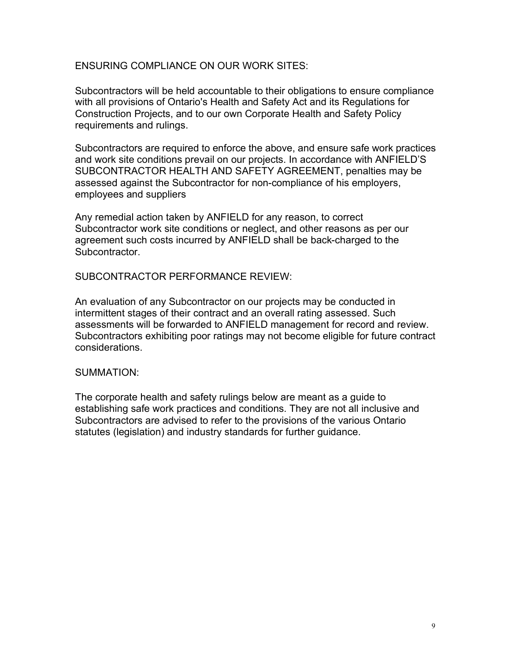ENSURING COMPLIANCE ON OUR WORK SITES:

Subcontractors will be held accountable to their obligations to ensure compliance with all provisions of Ontario's Health and Safety Act and its Regulations for Construction Projects, and to our own Corporate Health and Safety Policy requirements and rulings.

Subcontractors are required to enforce the above, and ensure safe work practices and work site conditions prevail on our projects. In accordance with ANFIELD'S SUBCONTRACTOR HEALTH AND SAFETY AGREEMENT, penalties may be assessed against the Subcontractor for non-compliance of his employers, employees and suppliers

Any remedial action taken by ANFIELD for any reason, to correct Subcontractor work site conditions or neglect, and other reasons as per our agreement such costs incurred by ANFIELD shall be back-charged to the Subcontractor.

SUBCONTRACTOR PERFORMANCE REVIEW:

An evaluation of any Subcontractor on our projects may be conducted in intermittent stages of their contract and an overall rating assessed. Such assessments will be forwarded to ANFIELD management for record and review. Subcontractors exhibiting poor ratings may not become eligible for future contract considerations.

SUMMATION:

The corporate health and safety rulings below are meant as a guide to establishing safe work practices and conditions. They are not all inclusive and Subcontractors are advised to refer to the provisions of the various Ontario statutes (legislation) and industry standards for further guidance.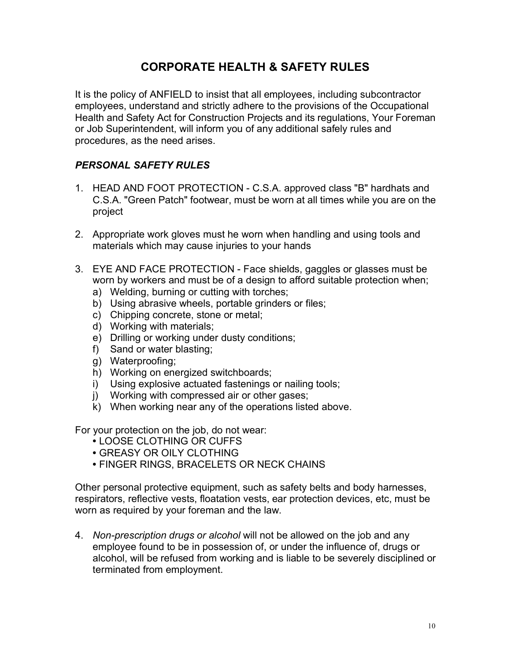# **CORPORATE HEALTH & SAFETY RULES**

It is the policy of ANFIELD to insist that all employees, including subcontractor employees, understand and strictly adhere to the provisions of the Occupational Health and Safety Act for Construction Projects and its regulations, Your Foreman or Job Superintendent, will inform you of any additional safely rules and procedures, as the need arises.

#### *PERSONAL SAFETY RULES*

- 1. HEAD AND FOOT PROTECTION C.S.A. approved class "B" hardhats and C.S.A. "Green Patch" footwear, must be worn at all times while you are on the project
- 2. Appropriate work gloves must he worn when handling and using tools and materials which may cause injuries to your hands
- 3. EYE AND FACE PROTECTION Face shields, gaggles or glasses must be worn by workers and must be of a design to afford suitable protection when;
	- a) Welding, burning or cutting with torches;
	- b) Using abrasive wheels, portable grinders or files;
	- c) Chipping concrete, stone or metal;
	- d) Working with materials;
	- e) Drilling or working under dusty conditions;
	- f) Sand or water blasting;
	- g) Waterproofing;
	- h) Working on energized switchboards;
	- i) Using explosive actuated fastenings or nailing tools;
	- j) Working with compressed air or other gases;
	- k) When working near any of the operations listed above.

For your protection on the job, do not wear:

- **•** LOOSE CLOTHING OR CUFFS
- **•** GREASY OR OILY CLOTHING
- **•** FINGER RINGS, BRACELETS OR NECK CHAINS

Other personal protective equipment, such as safety belts and body harnesses, respirators, reflective vests, floatation vests, ear protection devices, etc, must be worn as required by your foreman and the law.

4. *Non-prescription drugs or alcohol* will not be allowed on the job and any employee found to be in possession of, or under the influence of, drugs or alcohol, will be refused from working and is liable to be severely disciplined or terminated from employment.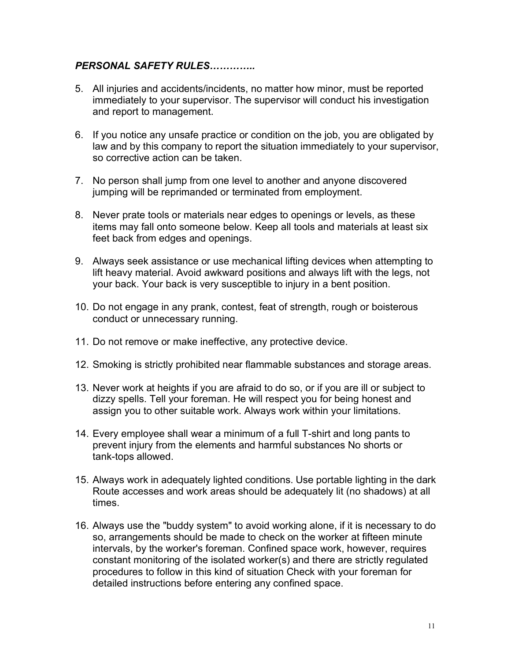- 5. All injuries and accidents/incidents, no matter how minor, must be reported immediately to your supervisor. The supervisor will conduct his investigation and report to management.
- 6. If you notice any unsafe practice or condition on the job, you are obligated by law and by this company to report the situation immediately to your supervisor, so corrective action can be taken.
- 7. No person shall jump from one level to another and anyone discovered jumping will be reprimanded or terminated from employment.
- 8. Never prate tools or materials near edges to openings or levels, as these items may fall onto someone below. Keep all tools and materials at least six feet back from edges and openings.
- 9. Always seek assistance or use mechanical lifting devices when attempting to lift heavy material. Avoid awkward positions and always lift with the legs, not your back. Your back is very susceptible to injury in a bent position.
- 10. Do not engage in any prank, contest, feat of strength, rough or boisterous conduct or unnecessary running.
- 11. Do not remove or make ineffective, any protective device.
- 12. Smoking is strictly prohibited near flammable substances and storage areas.
- 13. Never work at heights if you are afraid to do so, or if you are ill or subject to dizzy spells. Tell your foreman. He will respect you for being honest and assign you to other suitable work. Always work within your limitations.
- 14. Every employee shall wear a minimum of a full T-shirt and long pants to prevent injury from the elements and harmful substances No shorts or tank-tops allowed.
- 15. Always work in adequately lighted conditions. Use portable lighting in the dark Route accesses and work areas should be adequately lit (no shadows) at all times.
- 16. Always use the "buddy system" to avoid working alone, if it is necessary to do so, arrangements should be made to check on the worker at fifteen minute intervals, by the worker's foreman. Confined space work, however, requires constant monitoring of the isolated worker(s) and there are strictly regulated procedures to follow in this kind of situation Check with your foreman for detailed instructions before entering any confined space.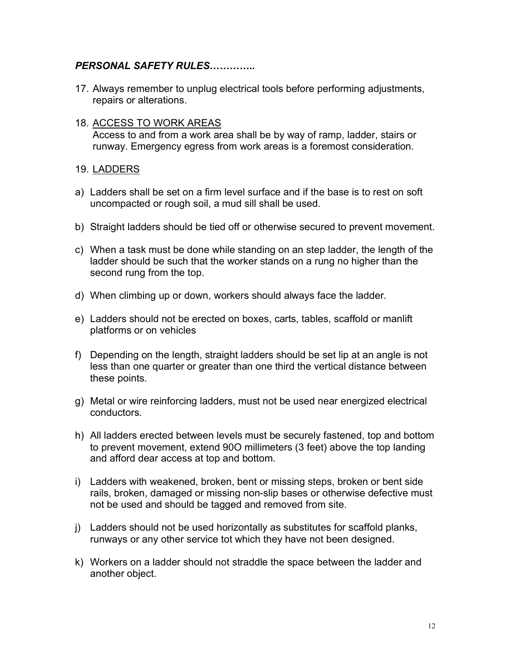- 17. Always remember to unplug electrical tools before performing adjustments, repairs or alterations.
- 18. ACCESS TO WORK AREAS Access to and from a work area shall be by way of ramp, ladder, stairs or runway. Emergency egress from work areas is a foremost consideration.
- 19. LADDERS
- a) Ladders shall be set on a firm level surface and if the base is to rest on soft uncompacted or rough soil, a mud sill shall be used.
- b) Straight ladders should be tied off or otherwise secured to prevent movement.
- c) When a task must be done while standing on an step ladder, the length of the ladder should be such that the worker stands on a rung no higher than the second rung from the top.
- d) When climbing up or down, workers should always face the ladder.
- e) Ladders should not be erected on boxes, carts, tables, scaffold or manlift platforms or on vehicles
- f) Depending on the length, straight ladders should be set lip at an angle is not less than one quarter or greater than one third the vertical distance between these points.
- g) Metal or wire reinforcing ladders, must not be used near energized electrical conductors.
- h) All ladders erected between levels must be securely fastened, top and bottom to prevent movement, extend 90O millimeters (3 feet) above the top landing and afford dear access at top and bottom.
- i) Ladders with weakened, broken, bent or missing steps, broken or bent side rails, broken, damaged or missing non-slip bases or otherwise defective must not be used and should be tagged and removed from site.
- j) Ladders should not be used horizontally as substitutes for scaffold planks, runways or any other service tot which they have not been designed.
- k) Workers on a ladder should not straddle the space between the ladder and another object.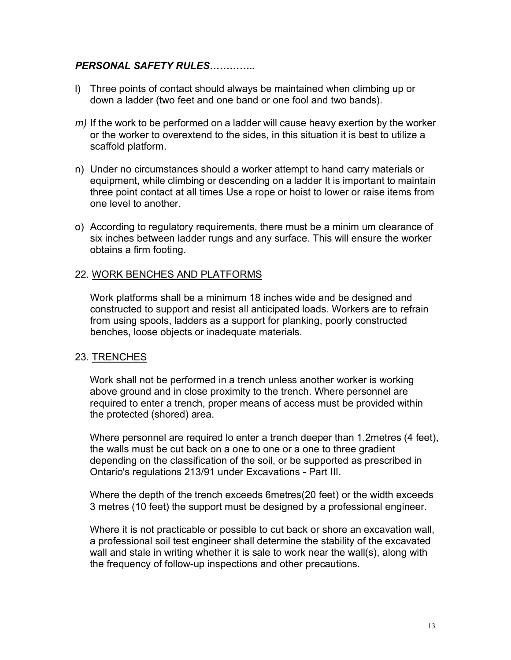- l) Three points of contact should always be maintained when climbing up or down a ladder (two feet and one band or one fool and two bands).
- *m)* If the work to be performed on a ladder will cause heavy exertion by the worker or the worker to overextend to the sides, in this situation it is best to utilize a scaffold platform.
- n) Under no circumstances should a worker attempt to hand carry materials or equipment, while climbing or descending on a ladder It is important to maintain three point contact at all times Use a rope or hoist to lower or raise items from one level to another.
- o) According to regulatory requirements, there must be a minim um clearance of six inches between ladder rungs and any surface. This will ensure the worker obtains a firm footing.

#### 22. WORK BENCHES AND PLATFORMS

Work platforms shall be a minimum 18 inches wide and be designed and constructed to support and resist all anticipated loads. Workers are to refrain from using spools, ladders as a support for planking, poorly constructed benches, loose objects or inadequate materials.

#### 23. TRENCHES

Work shall not be performed in a trench unless another worker is working above ground and in close proximity to the trench. Where personnel are required to enter a trench, proper means of access must be provided within the protected (shored) area.

Where personnel are required lo enter a trench deeper than 1.2metres (4 feet), the walls must be cut back on a one to one or a one to three gradient depending on the classification of the soil, or be supported as prescribed in Ontario's regulations 213/91 under Excavations - Part III.

Where the depth of the trench exceeds 6metres(20 feet) or the width exceeds 3 metres (10 feet) the support must be designed by a professional engineer.

Where it is not practicable or possible to cut back or shore an excavation wall, a professional soil test engineer shall determine the stability of the excavated wall and stale in writing whether it is sale to work near the wall(s), along with the frequency of follow-up inspections and other precautions.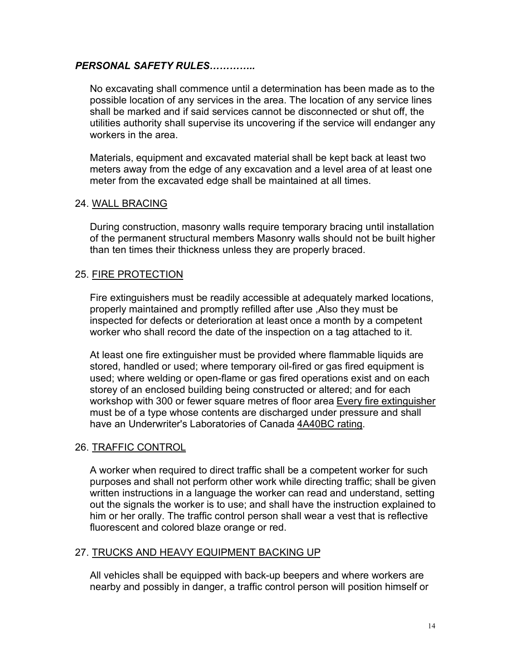No excavating shall commence until a determination has been made as to the possible location of any services in the area. The location of any service lines shall be marked and if said services cannot be disconnected or shut off, the utilities authority shall supervise its uncovering if the service will endanger any workers in the area.

Materials, equipment and excavated material shall be kept back at least two meters away from the edge of any excavation and a level area of at least one meter from the excavated edge shall be maintained at all times.

#### 24. WALL BRACING

During construction, masonry walls require temporary bracing until installation of the permanent structural members Masonry walls should not be built higher than ten times their thickness unless they are properly braced.

#### 25. FIRE PROTECTION

Fire extinguishers must be readily accessible at adequately marked locations, properly maintained and promptly refilled after use ,Also they must be inspected for defects or deterioration at least once a month by a competent worker who shall record the date of the inspection on a tag attached to it.

At least one fire extinguisher must be provided where flammable liquids are stored, handled or used; where temporary oil-fired or gas fired equipment is used; where welding or open-flame or gas fired operations exist and on each storey of an enclosed building being constructed or altered; and for each workshop with 300 or fewer square metres of floor area Every fire extinguisher must be of a type whose contents are discharged under pressure and shall have an Underwriter's Laboratories of Canada 4A40BC rating.

#### 26. TRAFFIC CONTROL

A worker when required to direct traffic shall be a competent worker for such purposes and shall not perform other work while directing traffic; shall be given written instructions in a language the worker can read and understand, setting out the signals the worker is to use; and shall have the instruction explained to him or her orally. The traffic control person shall wear a vest that is reflective fluorescent and colored blaze orange or red.

#### 27. TRUCKS AND HEAVY EQUIPMENT BACKING UP

All vehicles shall be equipped with back-up beepers and where workers are nearby and possibly in danger, a traffic control person will position himself or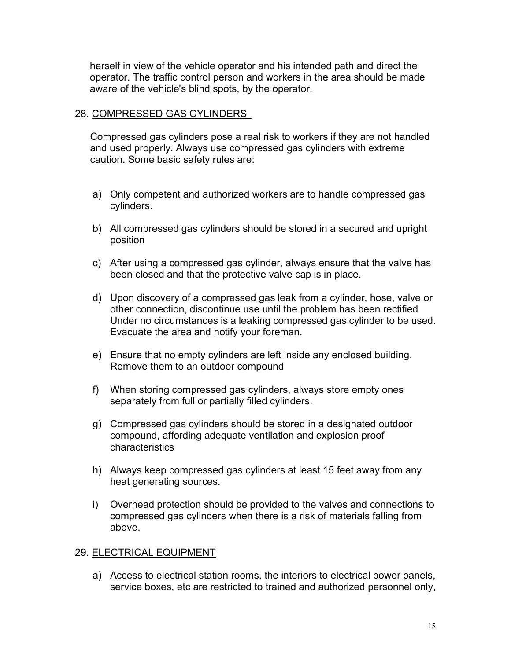herself in view of the vehicle operator and his intended path and direct the operator. The traffic control person and workers in the area should be made aware of the vehicle's blind spots, by the operator.

#### 28. COMPRESSED GAS CYLINDERS

Compressed gas cylinders pose a real risk to workers if they are not handled and used properly. Always use compressed gas cylinders with extreme caution. Some basic safety rules are:

- a) Only competent and authorized workers are to handle compressed gas cylinders.
- b) All compressed gas cylinders should be stored in a secured and upright position
- c) After using a compressed gas cylinder, always ensure that the valve has been closed and that the protective valve cap is in place.
- d) Upon discovery of a compressed gas leak from a cylinder, hose, valve or other connection, discontinue use until the problem has been rectified Under no circumstances is a leaking compressed gas cylinder to be used. Evacuate the area and notify your foreman.
- e) Ensure that no empty cylinders are left inside any enclosed building. Remove them to an outdoor compound
- f) When storing compressed gas cylinders, always store empty ones separately from full or partially filled cylinders.
- g) Compressed gas cylinders should be stored in a designated outdoor compound, affording adequate ventilation and explosion proof characteristics
- h) Always keep compressed gas cylinders at least 15 feet away from any heat generating sources.
- i) Overhead protection should be provided to the valves and connections to compressed gas cylinders when there is a risk of materials falling from above.

#### 29. ELECTRICAL EQUIPMENT

a) Access to electrical station rooms, the interiors to electrical power panels, service boxes, etc are restricted to trained and authorized personnel only,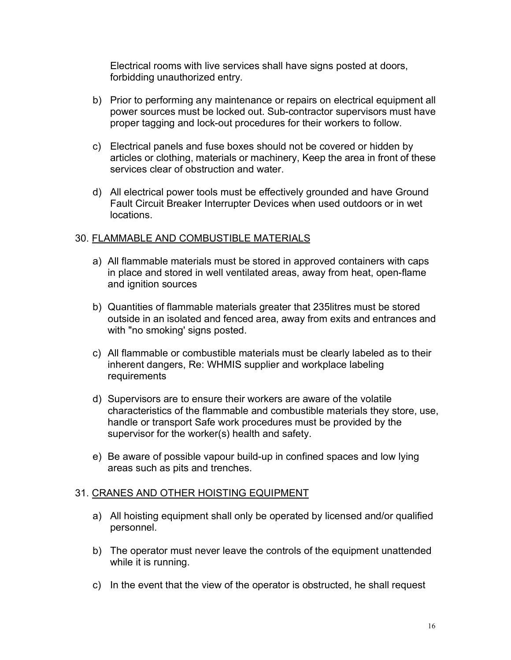Electrical rooms with live services shall have signs posted at doors, forbidding unauthorized entry.

- b) Prior to performing any maintenance or repairs on electrical equipment all power sources must be locked out. Sub-contractor supervisors must have proper tagging and lock-out procedures for their workers to follow.
- c) Electrical panels and fuse boxes should not be covered or hidden by articles or clothing, materials or machinery, Keep the area in front of these services clear of obstruction and water.
- d) All electrical power tools must be effectively grounded and have Ground Fault Circuit Breaker Interrupter Devices when used outdoors or in wet locations.

#### 30. FLAMMABLE AND COMBUSTIBLE MATERIALS

- a) All flammable materials must be stored in approved containers with caps in place and stored in well ventilated areas, away from heat, open-flame and ignition sources
- b) Quantities of flammable materials greater that 235litres must be stored outside in an isolated and fenced area, away from exits and entrances and with "no smoking' signs posted.
- c) All flammable or combustible materials must be clearly labeled as to their inherent dangers, Re: WHMIS supplier and workplace labeling requirements
- d) Supervisors are to ensure their workers are aware of the volatile characteristics of the flammable and combustible materials they store, use, handle or transport Safe work procedures must be provided by the supervisor for the worker(s) health and safety.
- e) Be aware of possible vapour build-up in confined spaces and low lying areas such as pits and trenches.

#### 31. CRANES AND OTHER HOISTING EQUIPMENT

- a) All hoisting equipment shall only be operated by licensed and/or qualified personnel.
- b) The operator must never leave the controls of the equipment unattended while it is running.
- c) In the event that the view of the operator is obstructed, he shall request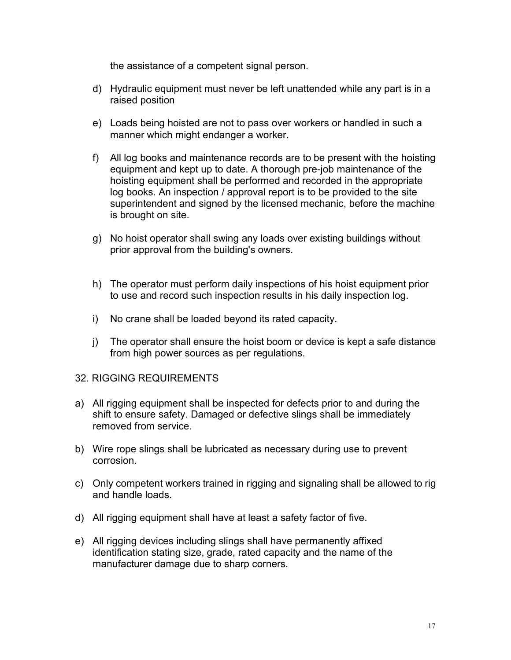the assistance of a competent signal person.

- d) Hydraulic equipment must never be left unattended while any part is in a raised position
- e) Loads being hoisted are not to pass over workers or handled in such a manner which might endanger a worker.
- f) All log books and maintenance records are to be present with the hoisting equipment and kept up to date. A thorough pre-job maintenance of the hoisting equipment shall be performed and recorded in the appropriate log books. An inspection / approval report is to be provided to the site superintendent and signed by the licensed mechanic, before the machine is brought on site.
- g) No hoist operator shall swing any loads over existing buildings without prior approval from the building's owners.
- h) The operator must perform daily inspections of his hoist equipment prior to use and record such inspection results in his daily inspection log.
- i) No crane shall be loaded beyond its rated capacity.
- j) The operator shall ensure the hoist boom or device is kept a safe distance from high power sources as per regulations.

#### 32. RIGGING REQUIREMENTS

- a) All rigging equipment shall be inspected for defects prior to and during the shift to ensure safety. Damaged or defective slings shall be immediately removed from service.
- b) Wire rope slings shall be lubricated as necessary during use to prevent corrosion.
- c) Only competent workers trained in rigging and signaling shall be allowed to rig and handle loads.
- d) All rigging equipment shall have at least a safety factor of five.
- e) All rigging devices including slings shall have permanently affixed identification stating size, grade, rated capacity and the name of the manufacturer damage due to sharp corners.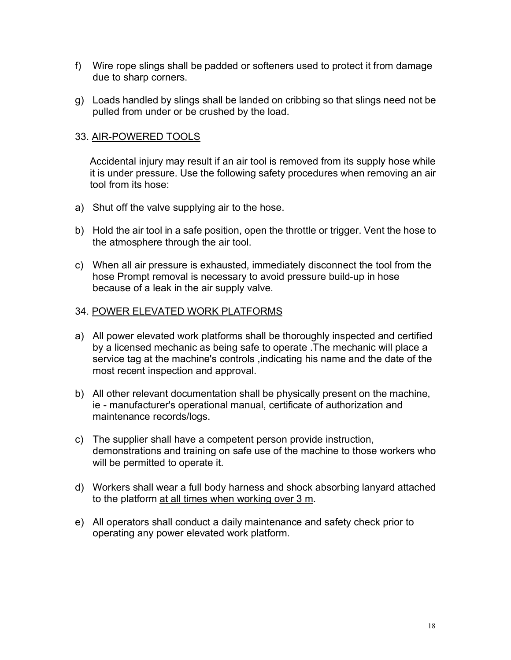- f) Wire rope slings shall be padded or softeners used to protect it from damage due to sharp corners.
- g) Loads handled by slings shall be landed on cribbing so that slings need not be pulled from under or be crushed by the load.

#### 33. AIR-POWERED TOOLS

Accidental injury may result if an air tool is removed from its supply hose while it is under pressure. Use the following safety procedures when removing an air tool from its hose:

- a) Shut off the valve supplying air to the hose.
- b) Hold the air tool in a safe position, open the throttle or trigger. Vent the hose to the atmosphere through the air tool.
- c) When all air pressure is exhausted, immediately disconnect the tool from the hose Prompt removal is necessary to avoid pressure build-up in hose because of a leak in the air supply valve.

#### 34. POWER ELEVATED WORK PLATFORMS

- a) All power elevated work platforms shall be thoroughly inspected and certified by a licensed mechanic as being safe to operate .The mechanic will place a service tag at the machine's controls ,indicating his name and the date of the most recent inspection and approval.
- b) All other relevant documentation shall be physically present on the machine, ie - manufacturer's operational manual, certificate of authorization and maintenance records/logs.
- c) The supplier shall have a competent person provide instruction, demonstrations and training on safe use of the machine to those workers who will be permitted to operate it.
- d) Workers shall wear a full body harness and shock absorbing lanyard attached to the platform at all times when working over 3 m.
- e) All operators shall conduct a daily maintenance and safety check prior to operating any power elevated work platform.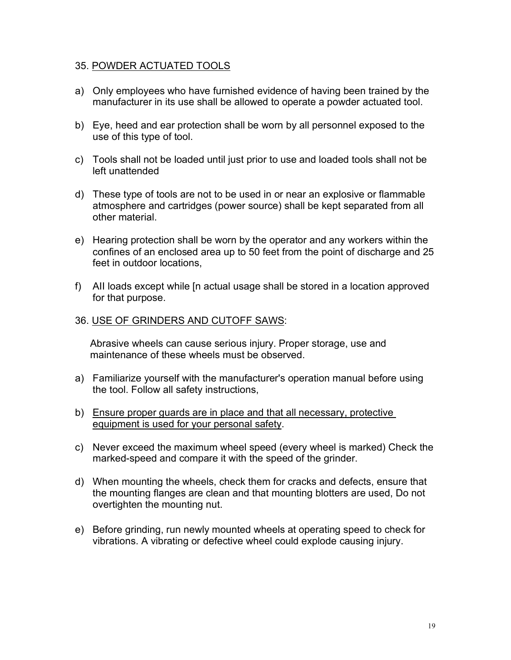#### 35. POWDER ACTUATED TOOLS

- a) Only employees who have furnished evidence of having been trained by the manufacturer in its use shall be allowed to operate a powder actuated tool.
- b) Eye, heed and ear protection shall be worn by all personnel exposed to the use of this type of tool.
- c) Tools shall not be loaded until just prior to use and loaded tools shall not be left unattended
- d) These type of tools are not to be used in or near an explosive or flammable atmosphere and cartridges (power source) shall be kept separated from all other material.
- e) Hearing protection shall be worn by the operator and any workers within the confines of an enclosed area up to 50 feet from the point of discharge and 25 feet in outdoor locations,
- f) AII loads except while [n actual usage shall be stored in a location approved for that purpose.
- 36. USE OF GRINDERS AND CUTOFF SAWS:

 Abrasive wheels can cause serious injury. Proper storage, use and maintenance of these wheels must be observed.

- a) Familiarize yourself with the manufacturer's operation manual before using the tool. Follow all safety instructions,
- b) Ensure proper guards are in place and that all necessary, protective equipment is used for your personal safety.
- c) Never exceed the maximum wheel speed (every wheel is marked) Check the marked-speed and compare it with the speed of the grinder.
- d) When mounting the wheels, check them for cracks and defects, ensure that the mounting flanges are clean and that mounting blotters are used, Do not overtighten the mounting nut.
- e) Before grinding, run newly mounted wheels at operating speed to check for vibrations. A vibrating or defective wheel could explode causing injury.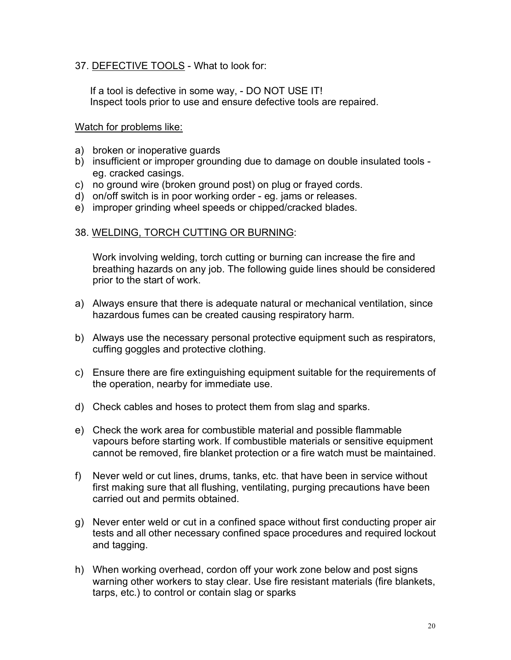#### 37. DEFECTIVE TOOLS - What to look for:

If a tool is defective in some way, - DO NOT USE IT! Inspect tools prior to use and ensure defective tools are repaired.

#### Watch for problems like:

- a) broken or inoperative guards
- b) insufficient or improper grounding due to damage on double insulated tools eg. cracked casings.
- c) no ground wire (broken ground post) on plug or frayed cords.
- d) on/off switch is in poor working order eg. jams or releases.
- e) improper grinding wheel speeds or chipped/cracked blades.

#### 38. WELDING, TORCH CUTTING OR BURNING:

Work involving welding, torch cutting or burning can increase the fire and breathing hazards on any job. The following guide lines should be considered prior to the start of work.

- a) Always ensure that there is adequate natural or mechanical ventilation, since hazardous fumes can be created causing respiratory harm.
- b) Always use the necessary personal protective equipment such as respirators, cuffing goggles and protective clothing.
- c) Ensure there are fire extinguishing equipment suitable for the requirements of the operation, nearby for immediate use.
- d) Check cables and hoses to protect them from slag and sparks.
- e) Check the work area for combustible material and possible flammable vapours before starting work. If combustible materials or sensitive equipment cannot be removed, fire blanket protection or a fire watch must be maintained.
- f) Never weld or cut lines, drums, tanks, etc. that have been in service without first making sure that all flushing, ventilating, purging precautions have been carried out and permits obtained.
- g) Never enter weld or cut in a confined space without first conducting proper air tests and all other necessary confined space procedures and required lockout and tagging.
- h) When working overhead, cordon off your work zone below and post signs warning other workers to stay clear. Use fire resistant materials (fire blankets, tarps, etc.) to control or contain slag or sparks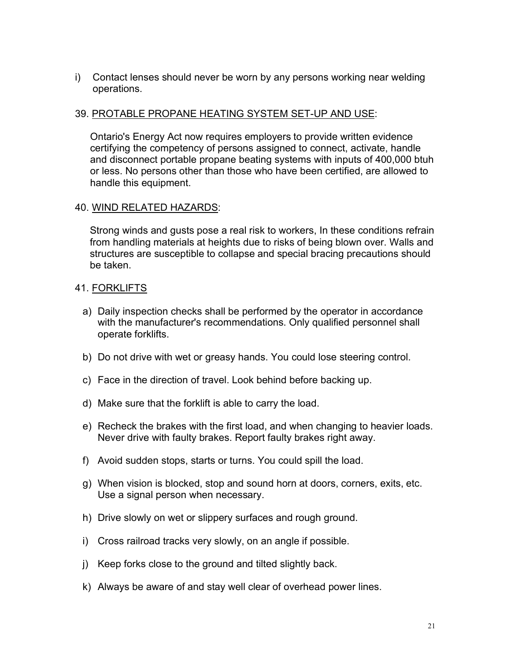i) Contact lenses should never be worn by any persons working near welding operations.

#### 39. PROTABLE PROPANE HEATING SYSTEM SET-UP AND USE:

Ontario's Energy Act now requires employers to provide written evidence certifying the competency of persons assigned to connect, activate, handle and disconnect portable propane beating systems with inputs of 400,000 btuh or less. No persons other than those who have been certified, are allowed to handle this equipment.

#### 40. WIND RELATED HAZARDS:

Strong winds and gusts pose a real risk to workers, In these conditions refrain from handling materials at heights due to risks of being blown over. Walls and structures are susceptible to collapse and special bracing precautions should be taken.

#### 41. FORKLIFTS

- a) Daily inspection checks shall be performed by the operator in accordance with the manufacturer's recommendations. Only qualified personnel shall operate forklifts.
- b) Do not drive with wet or greasy hands. You could lose steering control.
- c) Face in the direction of travel. Look behind before backing up.
- d) Make sure that the forklift is able to carry the load.
- e) Recheck the brakes with the first load, and when changing to heavier loads. Never drive with faulty brakes. Report faulty brakes right away.
- f) Avoid sudden stops, starts or turns. You could spill the load.
- g) When vision is blocked, stop and sound horn at doors, corners, exits, etc. Use a signal person when necessary.
- h) Drive slowly on wet or slippery surfaces and rough ground.
- i) Cross railroad tracks very slowly, on an angle if possible.
- j) Keep forks close to the ground and tilted slightly back.
- k) Always be aware of and stay well clear of overhead power lines.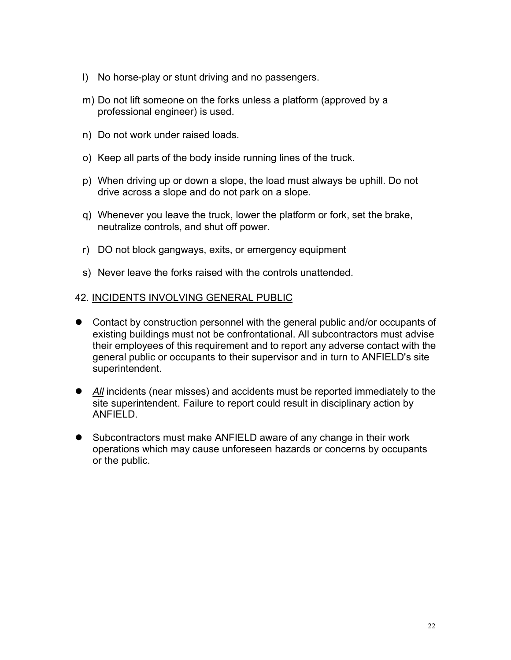- l) No horse-play or stunt driving and no passengers.
- m) Do not lift someone on the forks unless a platform (approved by a professional engineer) is used.
- n) Do not work under raised loads.
- o) Keep all parts of the body inside running lines of the truck.
- p) When driving up or down a slope, the load must always be uphill. Do not drive across a slope and do not park on a slope.
- q) Whenever you leave the truck, lower the platform or fork, set the brake, neutralize controls, and shut off power.
- r) DO not block gangways, exits, or emergency equipment
- s) Never leave the forks raised with the controls unattended.

#### 42. INCIDENTS INVOLVING GENERAL PUBLIC

- Contact by construction personnel with the general public and/or occupants of existing buildings must not be confrontational. All subcontractors must advise their employees of this requirement and to report any adverse contact with the general public or occupants to their supervisor and in turn to ANFIELD's site superintendent.
- *All* incidents (near misses) and accidents must be reported immediately to the site superintendent. Failure to report could result in disciplinary action by ANFIELD.
- Subcontractors must make ANFIELD aware of any change in their work operations which may cause unforeseen hazards or concerns by occupants or the public.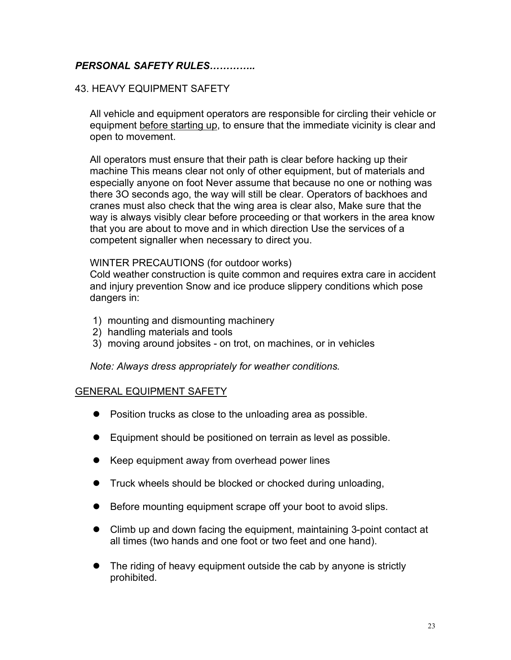#### 43. HEAVY EQUIPMENT SAFETY

All vehicle and equipment operators are responsible for circling their vehicle or equipment before starting up, to ensure that the immediate vicinity is clear and open to movement.

All operators must ensure that their path is clear before hacking up their machine This means clear not only of other equipment, but of materials and especially anyone on foot Never assume that because no one or nothing was there 3O seconds ago, the way will still be clear. Operators of backhoes and cranes must also check that the wing area is clear also, Make sure that the way is always visibly clear before proceeding or that workers in the area know that you are about to move and in which direction Use the services of a competent signaller when necessary to direct you.

#### WINTER PRECAUTIONS (for outdoor works)

Cold weather construction is quite common and requires extra care in accident and injury prevention Snow and ice produce slippery conditions which pose dangers in:

- 1) mounting and dismounting machinery
- 2) handling materials and tools
- 3) moving around jobsites on trot, on machines, or in vehicles

*Note: Always dress appropriately for weather conditions.*

#### GENERAL EQUIPMENT SAFETY

- Position trucks as close to the unloading area as possible.
- Equipment should be positioned on terrain as level as possible.
- Keep equipment away from overhead power lines
- Truck wheels should be blocked or chocked during unloading,
- **•** Before mounting equipment scrape off your boot to avoid slips.
- Climb up and down facing the equipment, maintaining 3-point contact at all times (two hands and one foot or two feet and one hand).
- The riding of heavy equipment outside the cab by anyone is strictly prohibited.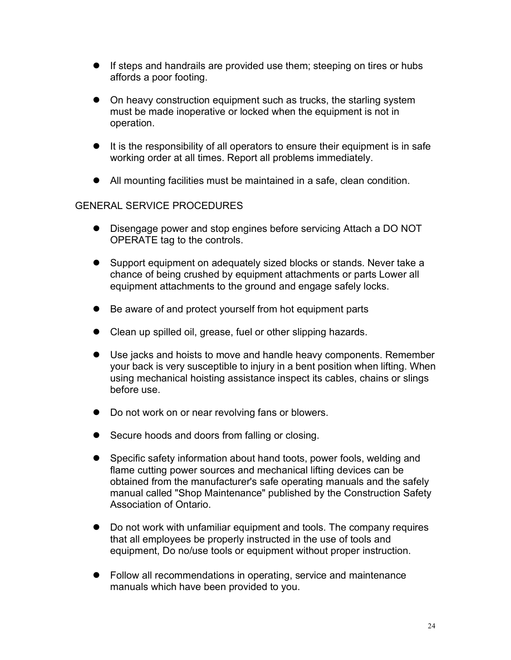- **If steps and handrails are provided use them; steeping on tires or hubs** affords a poor footing.
- On heavy construction equipment such as trucks, the starling system must be made inoperative or locked when the equipment is not in operation.
- It is the responsibility of all operators to ensure their equipment is in safe working order at all times. Report all problems immediately.
- All mounting facilities must be maintained in a safe, clean condition.

#### GENERAL SERVICE PROCEDURES

- Disengage power and stop engines before servicing Attach a DO NOT OPERATE tag to the controls.
- Support equipment on adequately sized blocks or stands. Never take a chance of being crushed by equipment attachments or parts Lower all equipment attachments to the ground and engage safely locks.
- Be aware of and protect yourself from hot equipment parts
- Clean up spilled oil, grease, fuel or other slipping hazards.
- Use jacks and hoists to move and handle heavy components. Remember your back is very susceptible to injury in a bent position when lifting. When using mechanical hoisting assistance inspect its cables, chains or slings before use.
- $\bullet$  Do not work on or near revolving fans or blowers.
- Secure hoods and doors from falling or closing.
- Specific safety information about hand toots, power fools, welding and flame cutting power sources and mechanical lifting devices can be obtained from the manufacturer's safe operating manuals and the safely manual called "Shop Maintenance" published by the Construction Safety Association of Ontario.
- Do not work with unfamiliar equipment and tools. The company requires that all employees be properly instructed in the use of tools and equipment, Do no/use tools or equipment without proper instruction.
- Follow all recommendations in operating, service and maintenance manuals which have been provided to you.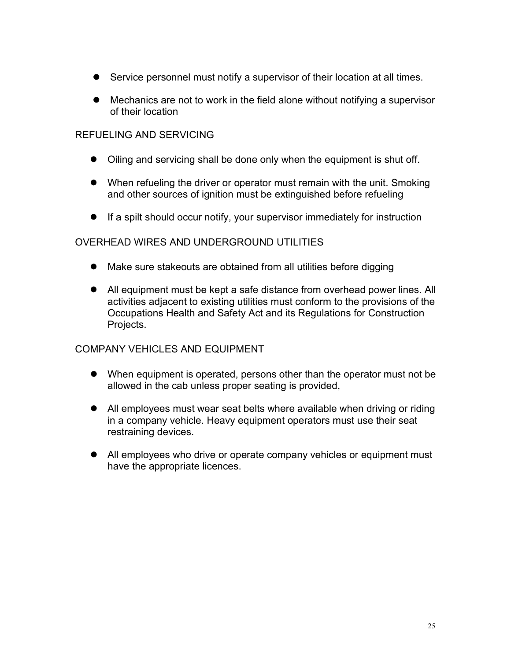- Service personnel must notify a supervisor of their location at all times.
- Mechanics are not to work in the field alone without notifying a supervisor of their location

#### REFUELING AND SERVICING

- Oiling and servicing shall be done only when the equipment is shut off.
- When refueling the driver or operator must remain with the unit. Smoking and other sources of ignition must be extinguished before refueling
- If a spilt should occur notify, your supervisor immediately for instruction

#### OVERHEAD WIRES AND UNDERGROUND UTILITIES

- Make sure stakeouts are obtained from all utilities before digging
- All equipment must be kept a safe distance from overhead power lines. All activities adjacent to existing utilities must conform to the provisions of the Occupations Health and Safety Act and its Regulations for Construction Projects.

#### COMPANY VEHICLES AND EQUIPMENT

- When equipment is operated, persons other than the operator must not be allowed in the cab unless proper seating is provided,
- All employees must wear seat belts where available when driving or riding in a company vehicle. Heavy equipment operators must use their seat restraining devices.
- All employees who drive or operate company vehicles or equipment must have the appropriate licences.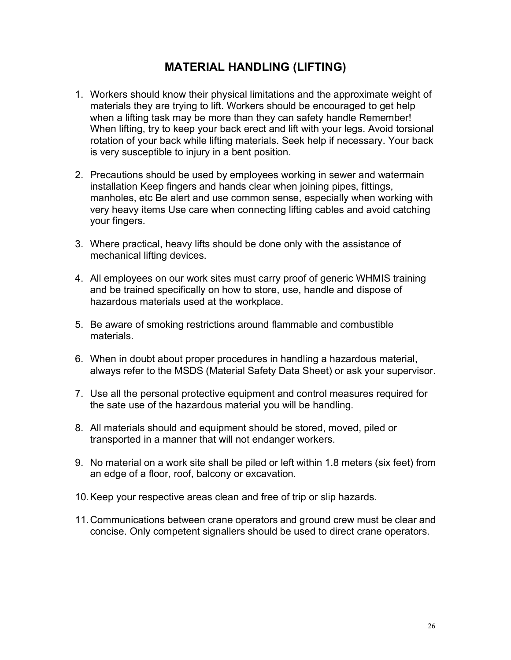# **MATERIAL HANDLING (LIFTING)**

- 1. Workers should know their physical limitations and the approximate weight of materials they are trying to lift. Workers should be encouraged to get help when a lifting task may be more than they can safety handle Remember! When lifting, try to keep your back erect and lift with your legs. Avoid torsional rotation of your back while lifting materials. Seek help if necessary. Your back is very susceptible to injury in a bent position.
- 2. Precautions should be used by employees working in sewer and watermain installation Keep fingers and hands clear when joining pipes, fittings, manholes, etc Be alert and use common sense, especially when working with very heavy items Use care when connecting lifting cables and avoid catching your fingers.
- 3. Where practical, heavy lifts should be done only with the assistance of mechanical lifting devices.
- 4. All employees on our work sites must carry proof of generic WHMIS training and be trained specifically on how to store, use, handle and dispose of hazardous materials used at the workplace.
- 5. Be aware of smoking restrictions around flammable and combustible materials.
- 6. When in doubt about proper procedures in handling a hazardous material, always refer to the MSDS (Material Safety Data Sheet) or ask your supervisor.
- 7. Use all the personal protective equipment and control measures required for the sate use of the hazardous material you will be handling.
- 8. All materials should and equipment should be stored, moved, piled or transported in a manner that will not endanger workers.
- 9. No material on a work site shall be piled or left within 1.8 meters (six feet) from an edge of a floor, roof, balcony or excavation.
- 10.Keep your respective areas clean and free of trip or slip hazards.
- 11.Communications between crane operators and ground crew must be clear and concise. Only competent signallers should be used to direct crane operators.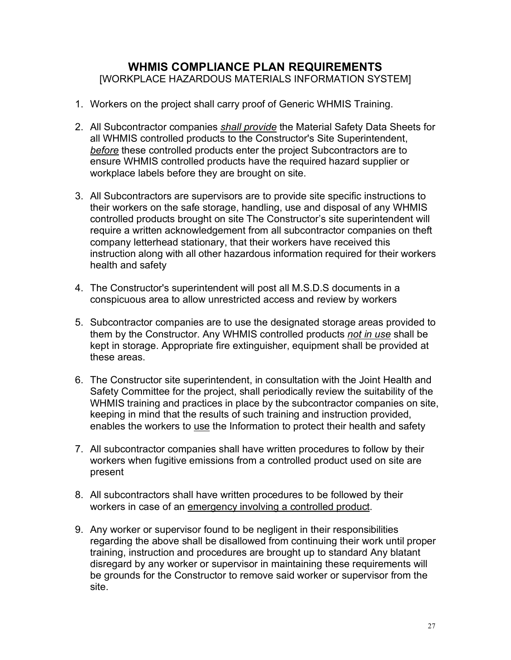#### **WHMIS COMPLIANCE PLAN REQUIREMENTS IWORKPLACE HAZARDOUS MATERIALS INFORMATION SYSTEM1**

- 1. Workers on the project shall carry proof of Generic WHMIS Training.
- 2. All Subcontractor companies *shall provide* the Material Safety Data Sheets for all WHMIS controlled products to the Constructor's Site Superintendent, *before* these controlled products enter the project Subcontractors are to ensure WHMIS controlled products have the required hazard supplier or workplace labels before they are brought on site.
- 3. All Subcontractors are supervisors are to provide site specific instructions to their workers on the safe storage, handling, use and disposal of any WHMIS controlled products brought on site The Constructor's site superintendent will require a written acknowledgement from all subcontractor companies on theft company letterhead stationary, that their workers have received this instruction along with all other hazardous information required for their workers health and safety
- 4. The Constructor's superintendent will post all M.S.D.S documents in a conspicuous area to allow unrestricted access and review by workers
- 5. Subcontractor companies are to use the designated storage areas provided to them by the Constructor. Any WHMIS controlled products *not in use* shall be kept in storage. Appropriate fire extinguisher, equipment shall be provided at these areas.
- 6. The Constructor site superintendent, in consultation with the Joint Health and Safety Committee for the project, shall periodically review the suitability of the WHMIS training and practices in place by the subcontractor companies on site, keeping in mind that the results of such training and instruction provided, enables the workers to use the Information to protect their health and safety
- 7. All subcontractor companies shall have written procedures to follow by their workers when fugitive emissions from a controlled product used on site are present
- 8. All subcontractors shall have written procedures to be followed by their workers in case of an emergency involving a controlled product.
- 9. Any worker or supervisor found to be negligent in their responsibilities regarding the above shall be disallowed from continuing their work until proper training, instruction and procedures are brought up to standard Any blatant disregard by any worker or supervisor in maintaining these requirements will be grounds for the Constructor to remove said worker or supervisor from the site.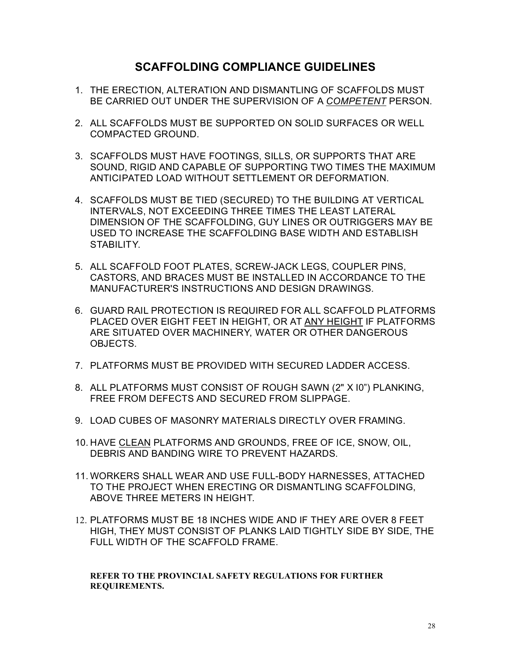# **SCAFFOLDING COMPLIANCE GUIDELINES**

- 1. THE ERECTION, ALTERATION AND DISMANTLING OF SCAFFOLDS MUST BE CARRIED OUT UNDER THE SUPERVISION OF A *COMPETENT* PERSON.
- 2. ALL SCAFFOLDS MUST BE SUPPORTED ON SOLID SURFACES OR WELL COMPACTED GROUND.
- 3. SCAFFOLDS MUST HAVE FOOTINGS, SILLS, OR SUPPORTS THAT ARE SOUND, RIGID AND CAPABLE OF SUPPORTING TWO TIMES THE MAXIMUM ANTICIPATED LOAD WITHOUT SETTLEMENT OR DEFORMATION.
- 4. SCAFFOLDS MUST BE TIED (SECURED) TO THE BUILDING AT VERTICAL INTERVALS, NOT EXCEEDING THREE TIMES THE LEAST LATERAL DIMENSION OF THE SCAFFOLDING, GUY LINES OR OUTRIGGERS MAY BE USED TO INCREASE THE SCAFFOLDING BASE WIDTH AND ESTABLISH STABILITY.
- 5. ALL SCAFFOLD FOOT PLATES, SCREW-JACK LEGS, COUPLER PINS, CASTORS, AND BRACES MUST BE INSTALLED IN ACCORDANCE TO THE MANUFACTURER'S INSTRUCTIONS AND DESIGN DRAWINGS.
- 6. GUARD RAIL PROTECTION IS REQUIRED FOR ALL SCAFFOLD PLATFORMS PLACED OVER EIGHT FEET IN HEIGHT, OR AT ANY HEIGHT IF PLATFORMS ARE SITUATED OVER MACHINERY, WATER OR OTHER DANGEROUS OBJECTS.
- 7. PLATFORMS MUST BE PROVIDED WITH SECURED LADDER ACCESS.
- 8. ALL PLATFORMS MUST CONSIST OF ROUGH SAWN (2" X I0") PLANKING, FREE FROM DEFECTS AND SECURED FROM SLIPPAGE.
- 9. LOAD CUBES OF MASONRY MATERIALS DIRECTLY OVER FRAMING.
- 10. HAVE CLEAN PLATFORMS AND GROUNDS, FREE OF ICE, SNOW, OIL, DEBRIS AND BANDING WIRE TO PREVENT HAZARDS.
- 11. WORKERS SHALL WEAR AND USE FULL-BODY HARNESSES, ATTACHED TO THE PROJECT WHEN ERECTING OR DISMANTLING SCAFFOLDING, ABOVE THREE METERS IN HEIGHT.
- 12. PLATFORMS MUST BE 18 INCHES WIDE AND IF THEY ARE OVER 8 FEET HIGH, THEY MUST CONSIST OF PLANKS LAID TIGHTLY SIDE BY SIDE, THE FULL WIDTH OF THE SCAFFOLD FRAME.

#### **REFER TO THE PROVINCIAL SAFETY REGULATIONS FOR FURTHER REQUIREMENTS.**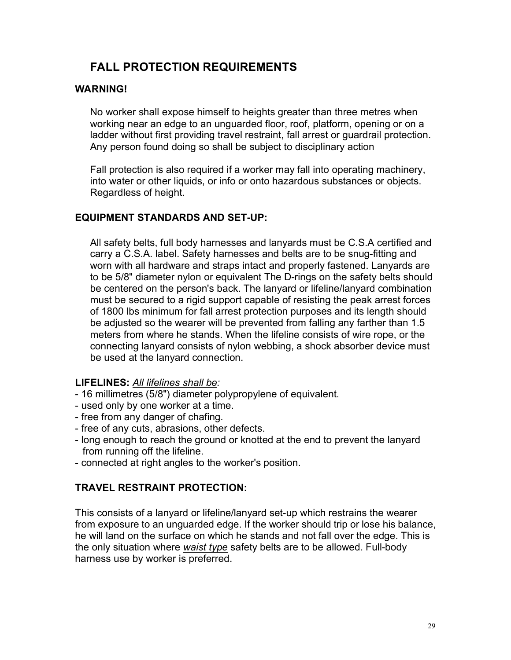# **FALL PROTECTION REQUIREMENTS**

#### **WARNING!**

No worker shall expose himself to heights greater than three metres when working near an edge to an unguarded floor, roof, platform, opening or on a ladder without first providing travel restraint, fall arrest or guardrail protection. Any person found doing so shall be subject to disciplinary action

Fall protection is also required if a worker may fall into operating machinery, into water or other liquids, or info or onto hazardous substances or objects. Regardless of height.

#### **EQUIPMENT STANDARDS AND SET-UP:**

All safety belts, full body harnesses and lanyards must be C.S.A certified and carry a C.S.A. label. Safety harnesses and belts are to be snug-fitting and worn with all hardware and straps intact and properly fastened. Lanyards are to be 5/8" diameter nylon or equivalent The D-rings on the safety belts should be centered on the person's back. The lanyard or lifeline/lanyard combination must be secured to a rigid support capable of resisting the peak arrest forces of 1800 lbs minimum for fall arrest protection purposes and its length should be adjusted so the wearer will be prevented from falling any farther than 1.5 meters from where he stands. When the lifeline consists of wire rope, or the connecting lanyard consists of nylon webbing, a shock absorber device must be used at the lanyard connection.

#### **LIFELINES:** *All lifelines shall be:*

- 16 millimetres (5/8") diameter polypropylene of equivalent.
- used only by one worker at a time.
- free from any danger of chafing.
- free of any cuts, abrasions, other defects.
- long enough to reach the ground or knotted at the end to prevent the lanyard from running off the lifeline.
- connected at right angles to the worker's position.

#### **TRAVEL RESTRAINT PROTECTION:**

This consists of a lanyard or lifeline/lanyard set-up which restrains the wearer from exposure to an unguarded edge. If the worker should trip or lose his balance, he will land on the surface on which he stands and not fall over the edge. This is the only situation where *waist type* safety belts are to be allowed. Full-body harness use by worker is preferred.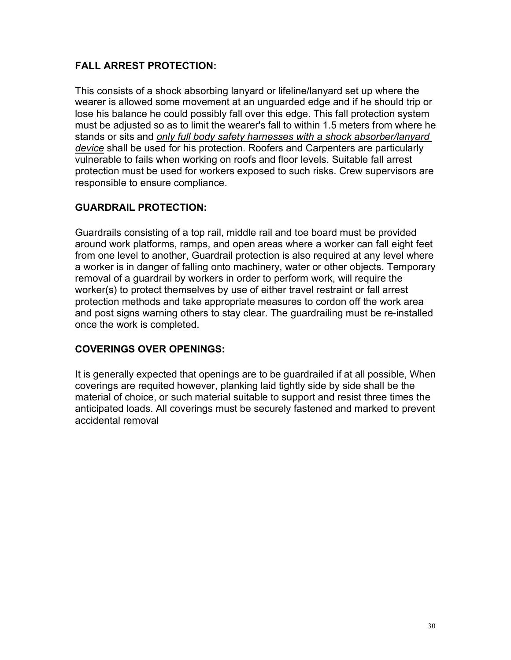#### **FALL ARREST PROTECTION:**

This consists of a shock absorbing lanyard or lifeline/lanyard set up where the wearer is allowed some movement at an unguarded edge and if he should trip or lose his balance he could possibly fall over this edge. This fall protection system must be adjusted so as to limit the wearer's fall to within 1.5 meters from where he stands or sits and *only full body safety harnesses with a shock absorber/lanyard device* shall be used for his protection. Roofers and Carpenters are particularly vulnerable to fails when working on roofs and floor levels. Suitable fall arrest protection must be used for workers exposed to such risks. Crew supervisors are responsible to ensure compliance.

#### **GUARDRAIL PROTECTION:**

Guardrails consisting of a top rail, middle rail and toe board must be provided around work platforms, ramps, and open areas where a worker can fall eight feet from one level to another, Guardrail protection is also required at any level where a worker is in danger of falling onto machinery, water or other objects. Temporary removal of a guardrail by workers in order to perform work, will require the worker(s) to protect themselves by use of either travel restraint or fall arrest protection methods and take appropriate measures to cordon off the work area and post signs warning others to stay clear. The guardrailing must be re-installed once the work is completed.

#### **COVERINGS OVER OPENINGS:**

It is generally expected that openings are to be guardrailed if at all possible, When coverings are requited however, planking laid tightly side by side shall be the material of choice, or such material suitable to support and resist three times the anticipated loads. All coverings must be securely fastened and marked to prevent accidental removal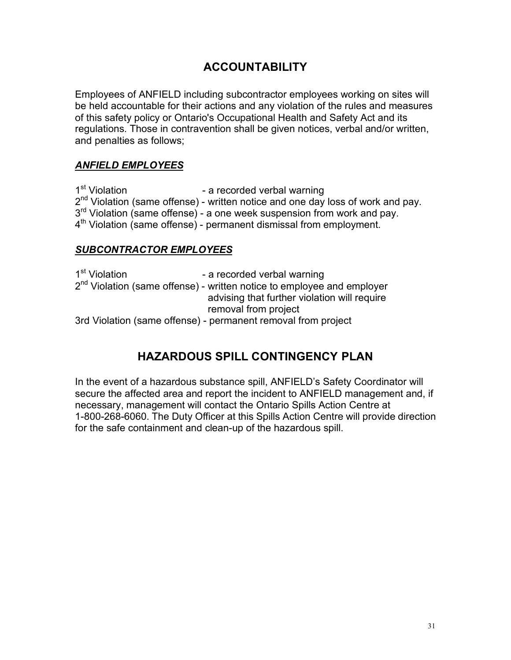# **ACCOUNTABILITY**

Employees of ANFIELD including subcontractor employees working on sites will be held accountable for their actions and any violation of the rules and measures of this safety policy or Ontario's Occupational Health and Safety Act and its regulations. Those in contravention shall be given notices, verbal and/or written, and penalties as follows;

#### *ANFIELD EMPLOYEES*

1<sup>st</sup> Violation **- a recorded verbal warning**  $2<sup>nd</sup>$  Violation (same offense) - written notice and one day loss of work and pay.  $3<sup>rd</sup>$  Violation (same offense) - a one week suspension from work and pay.  $4<sup>th</sup>$  Violation (same offense) - permanent dismissal from employment.

#### *SUBCONTRACTOR EMPLOYEES*

1<sup>st</sup> Violation **- a recorded verbal warning**  $2^{nd}$  Violation (same offense) - written notice to employee and employer advising that further violation will require removal from project 3rd Violation (same offense) - permanent removal from project

# **HAZARDOUS SPILL CONTINGENCY PLAN**

In the event of a hazardous substance spill, ANFIELD's Safety Coordinator will secure the affected area and report the incident to ANFIELD management and, if necessary, management will contact the Ontario Spills Action Centre at 1-800-268-6060. The Duty Officer at this Spills Action Centre will provide direction for the safe containment and clean-up of the hazardous spill.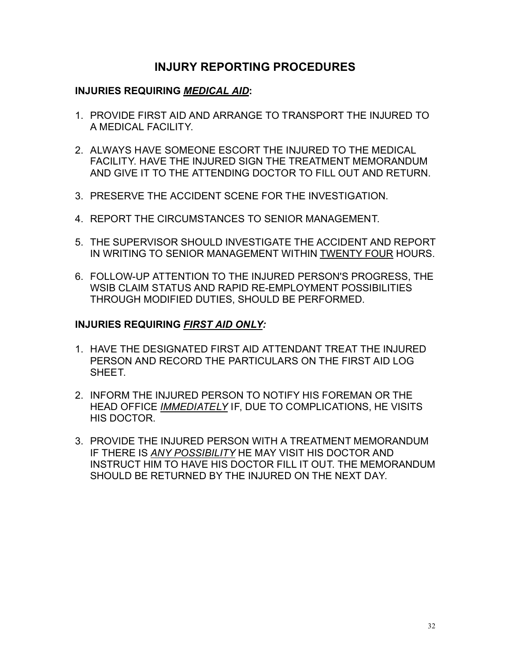# **INJURY REPORTING PROCEDURES**

#### **INJURIES REQUIRING** *MEDICAL AID***:**

- 1. PROVIDE FIRST AID AND ARRANGE TO TRANSPORT THE INJURED TO A MEDICAL FACILITY.
- 2. ALWAYS HAVE SOMEONE ESCORT THE INJURED TO THE MEDICAL FACILITY. HAVE THE INJURED SIGN THE TREATMENT MEMORANDUM AND GIVE IT TO THE ATTENDING DOCTOR TO FILL OUT AND RETURN.
- 3. PRESERVE THE ACCIDENT SCENE FOR THE INVESTIGATION.
- 4. REPORT THE CIRCUMSTANCES TO SENIOR MANAGEMENT.
- 5. THE SUPERVISOR SHOULD INVESTIGATE THE ACCIDENT AND REPORT IN WRITING TO SENIOR MANAGEMENT WITHIN TWENTY FOUR HOURS.
- 6. FOLLOW-UP ATTENTION TO THE INJURED PERSON'S PROGRESS, THE WSIB CLAIM STATUS AND RAPID RE-EMPLOYMENT POSSIBILITIES THROUGH MODIFIED DUTIES, SHOULD BE PERFORMED.

#### **INJURIES REQUIRING** *FIRST AID ONLY:*

- 1. HAVE THE DESIGNATED FIRST AID ATTENDANT TREAT THE INJURED PERSON AND RECORD THE PARTICULARS ON THE FIRST AID LOG **SHEET**
- 2. INFORM THE INJURED PERSON TO NOTIFY HIS FOREMAN OR THE HEAD OFFICE *IMMEDIATELY* IF, DUE TO COMPLICATIONS, HE VISITS HIS DOCTOR.
- 3. PROVIDE THE INJURED PERSON WITH A TREATMENT MEMORANDUM IF THERE IS *ANY POSSIBILITY* HE MAY VISIT HIS DOCTOR AND INSTRUCT HIM TO HAVE HIS DOCTOR FILL IT OUT. THE MEMORANDUM SHOULD BE RETURNED BY THE INJURED ON THE NEXT DAY.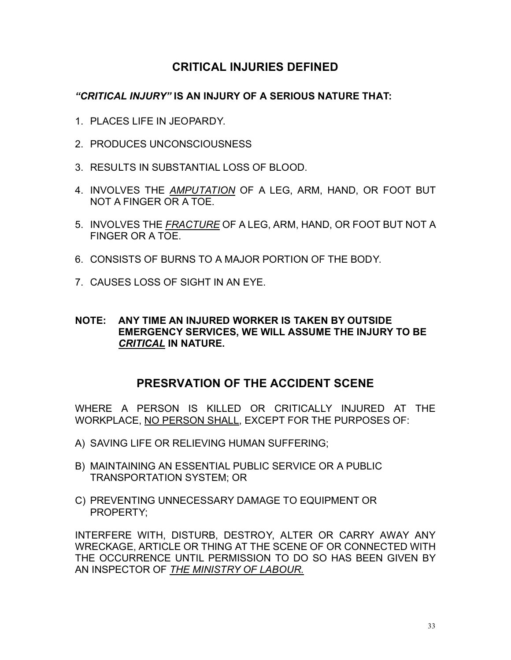# **CRITICAL INJURIES DEFINED**

#### *"CRITICAL INJURY"* **IS AN INJURY OF A SERIOUS NATURE THAT:**

- 1. PLACES LIFE IN JEOPARDY.
- 2. PRODUCES UNCONSCIOUSNESS
- 3. RESULTS IN SUBSTANTIAL LOSS OF BLOOD.
- 4. INVOLVES THE *AMPUTATION* OF A LEG, ARM, HAND, OR FOOT BUT NOT A FINGER OR A TOE.
- 5. INVOLVES THE *FRACTURE* OF A LEG, ARM, HAND, OR FOOT BUT NOT A FINGER OR A TOE.
- 6. CONSISTS OF BURNS TO A MAJOR PORTION OF THE BODY.
- 7. CAUSES LOSS OF SIGHT IN AN EYE.

#### **NOTE: ANY TIME AN INJURED WORKER IS TAKEN BY OUTSIDE EMERGENCY SERVICES, WE WILL ASSUME THE INJURY TO BE**  *CRITICAL* **IN NATURE.**

## **PRESRVATION OF THE ACCIDENT SCENE**

WHERE A PERSON IS KILLED OR CRITICALLY INJURED AT THE WORKPLACE, NO PERSON SHALL, EXCEPT FOR THE PURPOSES OF:

- A) SAVING LIFE OR RELIEVING HUMAN SUFFERING;
- B) MAINTAINING AN ESSENTIAL PUBLIC SERVICE OR A PUBLIC TRANSPORTATION SYSTEM; OR
- C) PREVENTING UNNECESSARY DAMAGE TO EQUIPMENT OR PROPERTY;

INTERFERE WITH, DISTURB, DESTROY, ALTER OR CARRY AWAY ANY WRECKAGE, ARTICLE OR THING AT THE SCENE OF OR CONNECTED WITH THE OCCURRENCE UNTIL PERMISSION TO DO SO HAS BEEN GIVEN BY AN INSPECTOR OF *THE MINISTRY OF LABOUR.*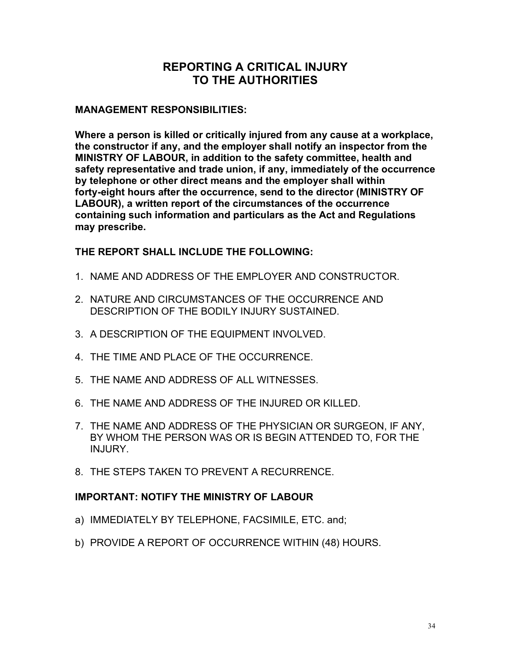# **REPORTING A CRITICAL INJURY TO THE AUTHORITIES**

#### **MANAGEMENT RESPONSIBILITIES:**

**Where a person is killed or critically injured from any cause at a workplace, the constructor if any, and the employer shall notify an inspector from the MINISTRY OF LABOUR, in addition to the safety committee, health and safety representative and trade union, if any, immediately of the occurrence by telephone or other direct means and the employer shall within forty-eight hours after the occurrence, send to the director (MINISTRY OF LABOUR), a written report of the circumstances of the occurrence containing such information and particulars as the Act and Regulations may prescribe.**

#### **THE REPORT SHALL INCLUDE THE FOLLOWING:**

- 1. NAME AND ADDRESS OF THE EMPLOYER AND CONSTRUCTOR.
- 2. NATURE AND CIRCUMSTANCES OF THE OCCURRENCE AND DESCRIPTION OF THE BODILY INJURY SUSTAINED.
- 3. A DESCRIPTION OF THE EQUIPMENT INVOLVED.
- 4. THE TIME AND PLACE OF THE OCCURRENCE.
- 5. THE NAME AND ADDRESS OF ALL WITNESSES.
- 6. THE NAME AND ADDRESS OF THE INJURED OR KILLED.
- 7. THE NAME AND ADDRESS OF THE PHYSICIAN OR SURGEON, IF ANY, BY WHOM THE PERSON WAS OR IS BEGIN ATTENDED TO, FOR THE INJURY.
- 8. THE STEPS TAKEN TO PREVENT A RECURRENCE.

#### **IMPORTANT: NOTIFY THE MINISTRY OF LABOUR**

- a) IMMEDIATELY BY TELEPHONE, FACSIMILE, ETC. and;
- b) PROVIDE A REPORT OF OCCURRENCE WITHIN (48) HOURS.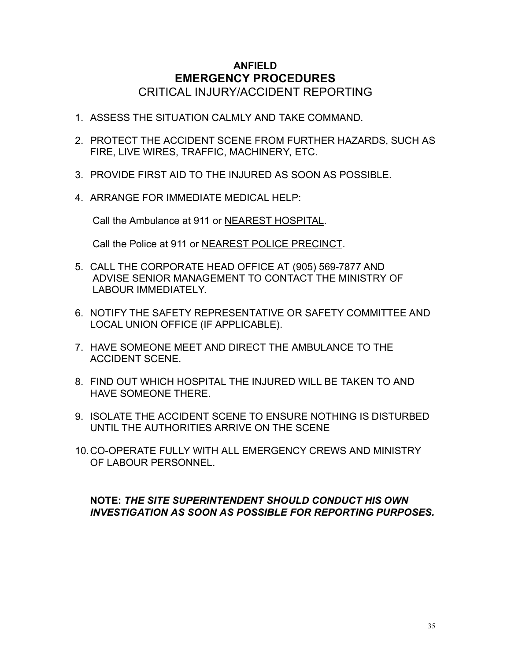## **ANFIELD EMERGENCY PROCEDURES** CRITICAL INJURY/ACCIDENT REPORTING

- 1. ASSESS THE SITUATION CALMLY AND TAKE COMMAND.
- 2. PROTECT THE ACCIDENT SCENE FROM FURTHER HAZARDS, SUCH AS FIRE, LIVE WIRES, TRAFFIC, MACHINERY, ETC.
- 3. PROVIDE FIRST AID TO THE INJURED AS SOON AS POSSIBLE.
- 4. ARRANGE FOR IMMEDIATE MEDICAL HELP:

Call the Ambulance at 911 or NEAREST HOSPITAL.

Call the Police at 911 or NEAREST POLICE PRECINCT.

- 5. CALL THE CORPORATE HEAD OFFICE AT (905) 569-7877 AND ADVISE SENIOR MANAGEMENT TO CONTACT THE MINISTRY OF LABOUR IMMEDIATELY.
- 6. NOTIFY THE SAFETY REPRESENTATIVE OR SAFETY COMMITTEE AND LOCAL UNION OFFICE (IF APPLICABLE).
- 7. HAVE SOMEONE MEET AND DIRECT THE AMBULANCE TO THE ACCIDENT SCENE.
- 8. FIND OUT WHICH HOSPITAL THE INJURED WILL BE TAKEN TO AND HAVE SOMEONE THERE.
- 9. ISOLATE THE ACCIDENT SCENE TO ENSURE NOTHING IS DISTURBED UNTIL THE AUTHORITIES ARRIVE ON THE SCENE
- 10.CO-OPERATE FULLY WITH ALL EMERGENCY CREWS AND MINISTRY OF LABOUR PERSONNEL.

#### **NOTE:** *THE SITE SUPERINTENDENT SHOULD CONDUCT HIS OWN INVESTIGATION AS SOON AS POSSIBLE FOR REPORTING PURPOSES.*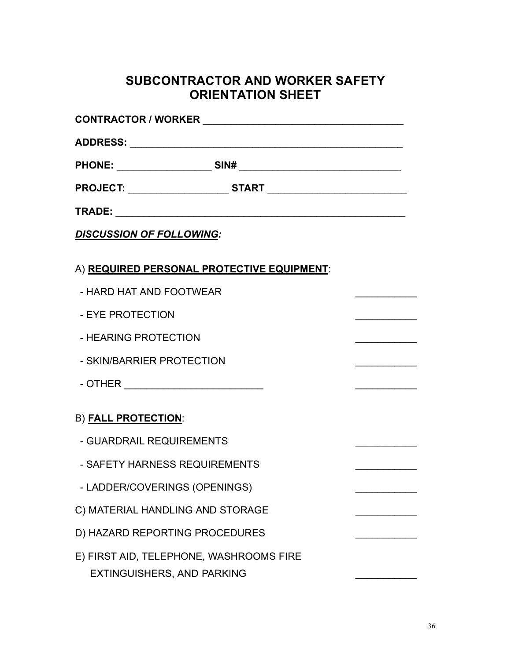# **SUBCONTRACTOR AND WORKER SAFETY ORIENTATION SHEET**

| <b>DISCUSSION OF FOLLOWING:</b>                                       |  |
|-----------------------------------------------------------------------|--|
| A) REQUIRED PERSONAL PROTECTIVE EQUIPMENT:                            |  |
| - HARD HAT AND FOOTWEAR                                               |  |
| - EYE PROTECTION                                                      |  |
| - HEARING PROTECTION                                                  |  |
| - SKIN/BARRIER PROTECTION                                             |  |
|                                                                       |  |
| <b>B) FALL PROTECTION:</b>                                            |  |
| - GUARDRAIL REQUIREMENTS                                              |  |
| - SAFETY HARNESS REQUIREMENTS                                         |  |
| - LADDER/COVERINGS (OPENINGS)                                         |  |
| C) MATERIAL HANDLING AND STORAGE                                      |  |
| D) HAZARD REPORTING PROCEDURES                                        |  |
| E) FIRST AID, TELEPHONE, WASHROOMS FIRE<br>EXTINGUISHERS, AND PARKING |  |